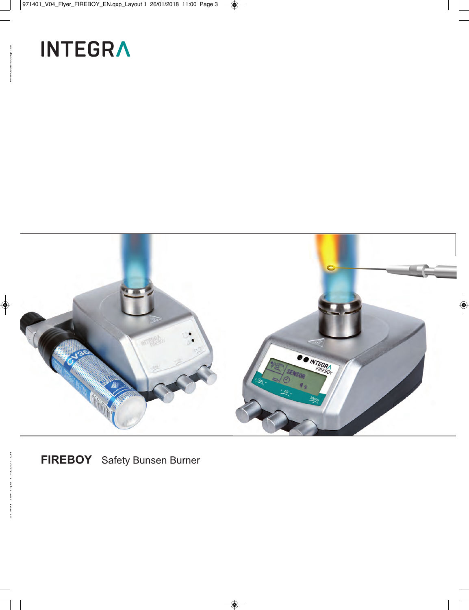# **INTEGRA**



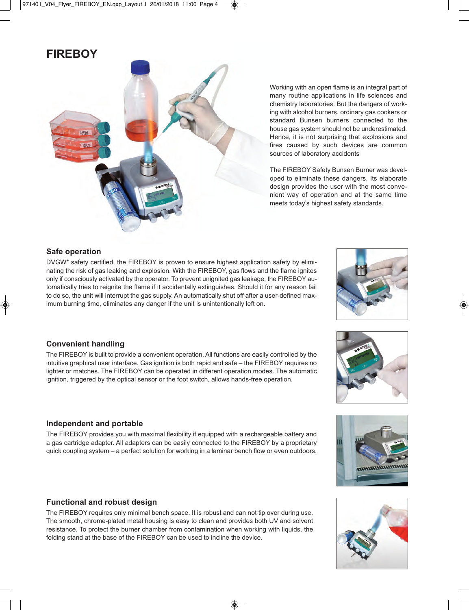## **FIREBOY**



Working with an open flame is an integral part of many routine applications in life sciences and chemistry laboratories. But the dangers of working with alcohol burners, ordinary gas cookers or standard Bunsen burners connected to the house gas system should not be underestimated. Hence, it is not surprising that explosions and fires caused by such devices are common sources of laboratory accidents

The FIREBOY Safety Bunsen Burner was developed to eliminate these dangers. Its elaborate design provides the user with the most convenient way of operation and at the same time meets today's highest safety standards.

#### **Safe operation**

DVGW\* safety certified, the FIREBOY is proven to ensure highest application safety by eliminating the risk of gas leaking and explosion. With the FIREBOY, gas flows and the flame ignites only if consciously activated by the operator. To prevent unignited gas leakage, the FIREBOY automatically tries to reignite the flame if it accidentally extinguishes. Should it for any reason fail to do so, the unit will interrupt the gas supply. An automatically shut off after a user-defined maximum burning time, eliminates any danger if the unit is unintentionally left on.



#### **Convenient handling**

The FIREBOY is built to provide a convenient operation. All functions are easily controlled by the intuitive graphical user interface. Gas ignition is both rapid and safe – the FIREBOY requires no lighter or matches. The FIREBOY can be operated in different operation modes. The automatic ignition, triggered by the optical sensor or the foot switch, allows hands-free operation.

### **Independent and portable**

The FIREBOY provides you with maximal flexibility if equipped with a rechargeable battery and a gas cartridge adapter. All adapters can be easily connected to the FIREBOY by a proprietary quick coupling system – a perfect solution for working in a laminar bench flow or even outdoors.

#### **Functional and robust design**

The FIREBOY requires only minimal bench space. It is robust and can not tip over during use. The smooth, chrome-plated metal housing is easy to clean and provides both UV and solvent resistance. To protect the burner chamber from contamination when working with liquids, the folding stand at the base of the FIREBOY can be used to incline the device.





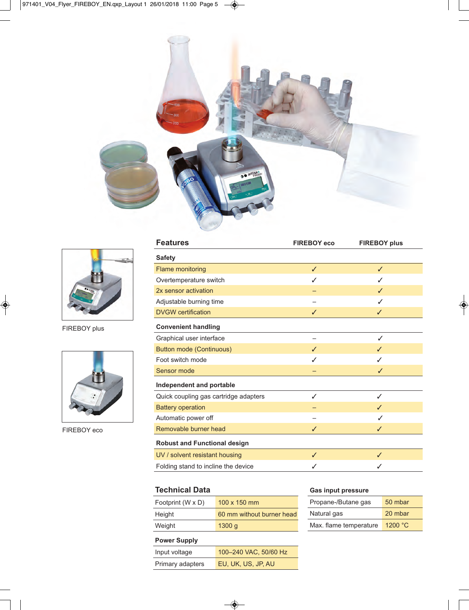



FIREBOY plus



FIREBOY eco

| <b>Features</b>                       | <b>FIREBOY eco</b> | <b>FIREBOY plus</b> |
|---------------------------------------|--------------------|---------------------|
| <b>Safety</b>                         |                    |                     |
| <b>Flame monitoring</b>               | $\checkmark$       | $\checkmark$        |
| Overtemperature switch                | J                  |                     |
| 2x sensor activation                  |                    | ℐ                   |
| Adjustable burning time               |                    |                     |
| <b>DVGW</b> certification             | ✓                  | ✓                   |
| <b>Convenient handling</b>            |                    |                     |
| Graphical user interface              |                    | ✓                   |
| <b>Button mode (Continuous)</b>       | ✓                  | ℐ                   |
| Foot switch mode                      | ✓                  | J                   |
| Sensor mode                           |                    | ✓                   |
| Independent and portable              |                    |                     |
| Quick coupling gas cartridge adapters | ✓                  | ✓                   |
| <b>Battery operation</b>              |                    | J                   |
| Automatic power off                   |                    |                     |
| Removable burner head                 | ✓                  | ✓                   |
| <b>Robust and Functional design</b>   |                    |                     |
| UV / solvent resistant housing        | $\checkmark$       | $\checkmark$        |
| Folding stand to incline the device   | ✓                  |                     |

#### **Technical Data**

| Footprint (W x D) | $100 \times 150$ mm       |
|-------------------|---------------------------|
| Height            | 60 mm without burner head |
| Weight            | 1300q                     |

## **Power Supply**

| Input voltage    | 100-240 VAC, 50/60 Hz |
|------------------|-----------------------|
| Primary adapters | EU, UK, US, JP, AU    |
|                  |                       |

#### **Gas input pressure**

| Propane-/Butane gas    | 50 mbar |
|------------------------|---------|
| Natural gas            | 20 mbar |
| Max. flame temperature | 1200 °C |